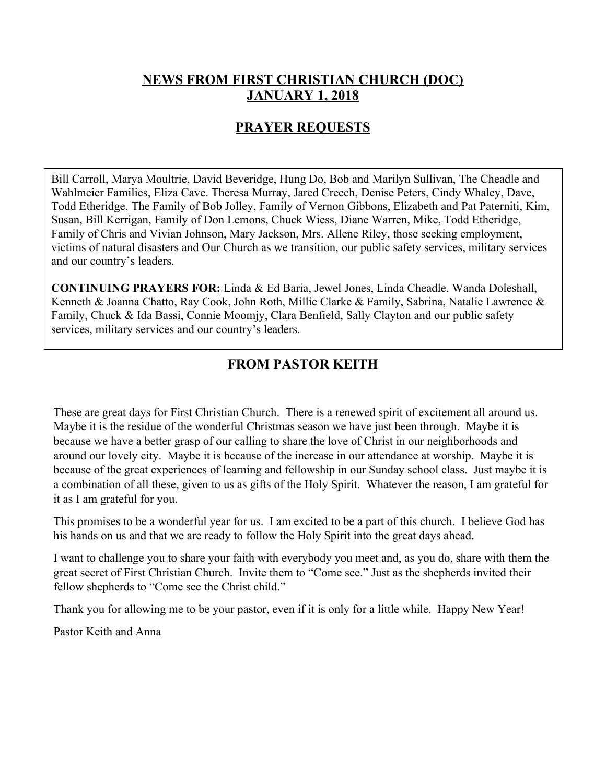## **NEWS FROM FIRST CHRISTIAN CHURCH (DOC) JANUARY 1, 2018**

## **PRAYER REQUESTS**

Bill Carroll, Marya Moultrie, David Beveridge, Hung Do, Bob and Marilyn Sullivan, The Cheadle and Wahlmeier Families, Eliza Cave. Theresa Murray, Jared Creech, Denise Peters, Cindy Whaley, Dave, Todd Etheridge, The Family of Bob Jolley, Family of Vernon Gibbons, Elizabeth and Pat Paterniti, Kim, Susan, Bill Kerrigan, Family of Don Lemons, Chuck Wiess, Diane Warren, Mike, Todd Etheridge, Family of Chris and Vivian Johnson, Mary Jackson, Mrs. Allene Riley, those seeking employment, victims of natural disasters and Our Church as we transition, our public safety services, military services and our country's leaders.

**CONTINUING PRAYERS FOR:** Linda & Ed Baria, Jewel Jones, Linda Cheadle. Wanda Doleshall, Kenneth & Joanna Chatto, Ray Cook, John Roth, Millie Clarke & Family, Sabrina, Natalie Lawrence & Family, Chuck & Ida Bassi, Connie Moomjy, Clara Benfield, Sally Clayton and our public safety services, military services and our country's leaders.

# **FROM PASTOR KEITH**

These are great days for First Christian Church. There is a renewed spirit of excitement all around us. Maybe it is the residue of the wonderful Christmas season we have just been through. Maybe it is because we have a better grasp of our calling to share the love of Christ in our neighborhoods and around our lovely city. Maybe it is because of the increase in our attendance at worship. Maybe it is because of the great experiences of learning and fellowship in our Sunday school class. Just maybe it is a combination of all these, given to us as gifts of the Holy Spirit. Whatever the reason, I am grateful for it as I am grateful for you.

This promises to be a wonderful year for us. I am excited to be a part of this church. I believe God has his hands on us and that we are ready to follow the Holy Spirit into the great days ahead.

I want to challenge you to share your faith with everybody you meet and, as you do, share with them the great secret of First Christian Church. Invite them to "Come see." Just as the shepherds invited their fellow shepherds to "Come see the Christ child."

Thank you for allowing me to be your pastor, even if it is only for a little while. Happy New Year!

Pastor Keith and Anna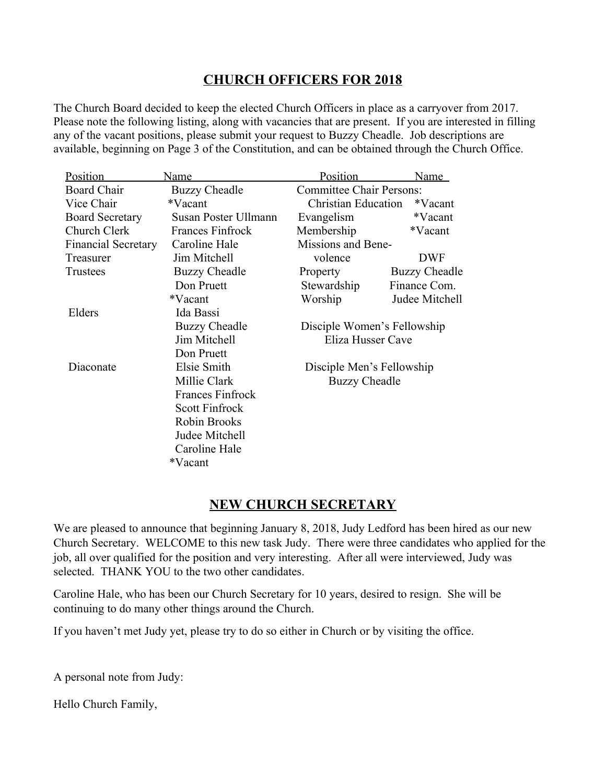## **CHURCH OFFICERS FOR 2018**

The Church Board decided to keep the elected Church Officers in place as a carryover from 2017. Please note the following listing, along with vacancies that are present. If you are interested in filling any of the vacant positions, please submit your request to Buzzy Cheadle. Job descriptions are available, beginning on Page 3 of the Constitution, and can be obtained through the Church Office.

| Position                   | Name                    | Position                              | Name                      |  |
|----------------------------|-------------------------|---------------------------------------|---------------------------|--|
| <b>Board Chair</b>         | <b>Buzzy Cheadle</b>    | <b>Committee Chair Persons:</b>       |                           |  |
| Vice Chair                 | *Vacant                 | <b>Christian Education</b><br>*Vacant |                           |  |
| <b>Board Secretary</b>     | Susan Poster Ullmann    | Evangelism                            | *Vacant                   |  |
| Church Clerk               | <b>Frances Finfrock</b> | Membership                            | *Vacant                   |  |
| <b>Financial Secretary</b> | Caroline Hale           | Missions and Bene-                    |                           |  |
| Treasurer                  | Jim Mitchell            | volence                               | <b>DWF</b>                |  |
| <b>Trustees</b>            | <b>Buzzy Cheadle</b>    | Property                              | <b>Buzzy Cheadle</b>      |  |
|                            | Don Pruett              | Stewardship                           | Finance Com.              |  |
|                            | *Vacant                 | Worship                               | Judee Mitchell            |  |
| Elders                     | Ida Bassi               |                                       |                           |  |
|                            | <b>Buzzy Cheadle</b>    | Disciple Women's Fellowship           |                           |  |
|                            | Jim Mitchell            | Eliza Husser Cave                     |                           |  |
|                            | Don Pruett              |                                       |                           |  |
| Diaconate                  | Elsie Smith             |                                       | Disciple Men's Fellowship |  |
|                            | Millie Clark            | <b>Buzzy Cheadle</b>                  |                           |  |
|                            | <b>Frances Finfrock</b> |                                       |                           |  |
|                            | <b>Scott Finfrock</b>   |                                       |                           |  |
|                            | Robin Brooks            |                                       |                           |  |
|                            | Judee Mitchell          |                                       |                           |  |
|                            | Caroline Hale           |                                       |                           |  |
|                            | *Vacant                 |                                       |                           |  |

# **NEW CHURCH SECRETARY**

We are pleased to announce that beginning January 8, 2018, Judy Ledford has been hired as our new Church Secretary. WELCOME to this new task Judy. There were three candidates who applied for the job, all over qualified for the position and very interesting. After all were interviewed, Judy was selected. THANK YOU to the two other candidates.

Caroline Hale, who has been our Church Secretary for 10 years, desired to resign. She will be continuing to do many other things around the Church.

If you haven't met Judy yet, please try to do so either in Church or by visiting the office.

A personal note from Judy:

Hello Church Family,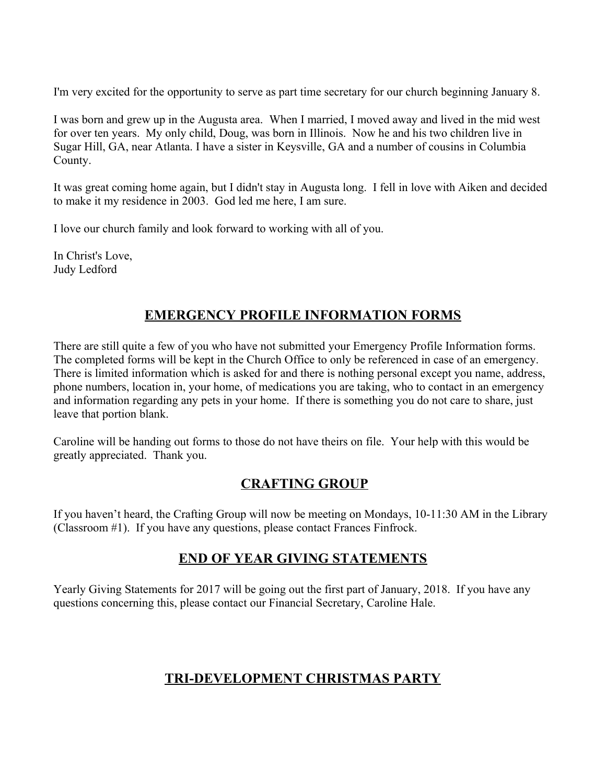I'm very excited for the opportunity to serve as part time secretary for our church beginning January 8.

I was born and grew up in the Augusta area. When I married, I moved away and lived in the mid west for over ten years. My only child, Doug, was born in Illinois. Now he and his two children live in Sugar Hill, GA, near Atlanta. I have a sister in Keysville, GA and a number of cousins in Columbia County.

It was great coming home again, but I didn't stay in Augusta long. I fell in love with Aiken and decided to make it my residence in 2003. God led me here, I am sure.

I love our church family and look forward to working with all of you.

In Christ's Love, Judy Ledford

## **EMERGENCY PROFILE INFORMATION FORMS**

There are still quite a few of you who have not submitted your Emergency Profile Information forms. The completed forms will be kept in the Church Office to only be referenced in case of an emergency. There is limited information which is asked for and there is nothing personal except you name, address, phone numbers, location in, your home, of medications you are taking, who to contact in an emergency and information regarding any pets in your home. If there is something you do not care to share, just leave that portion blank.

Caroline will be handing out forms to those do not have theirs on file. Your help with this would be greatly appreciated. Thank you.

### **CRAFTING GROUP**

If you haven't heard, the Crafting Group will now be meeting on Mondays, 10-11:30 AM in the Library (Classroom #1). If you have any questions, please contact Frances Finfrock.

### **END OF YEAR GIVING STATEMENTS**

Yearly Giving Statements for 2017 will be going out the first part of January, 2018. If you have any questions concerning this, please contact our Financial Secretary, Caroline Hale.

# **TRI-DEVELOPMENT CHRISTMAS PARTY**